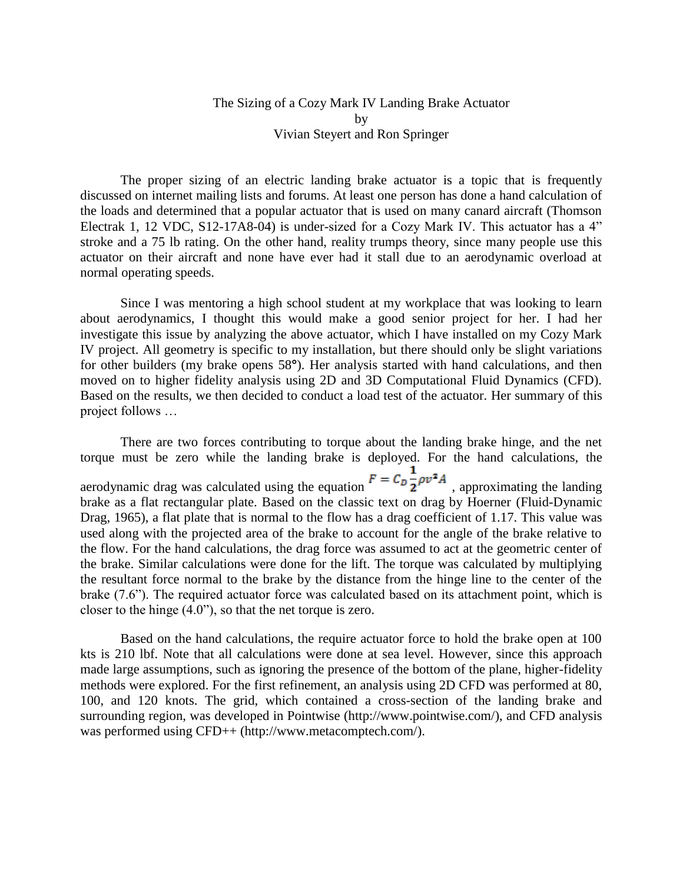## The Sizing of a Cozy Mark IV Landing Brake Actuator by Vivian Steyert and Ron Springer

The proper sizing of an electric landing brake actuator is a topic that is frequently discussed on internet mailing lists and forums. At least one person has done a hand calculation of the loads and determined that a popular actuator that is used on many canard aircraft (Thomson Electrak 1, 12 VDC, S12-17A8-04) is under-sized for a Cozy Mark IV. This actuator has a 4" stroke and a 75 lb rating. On the other hand, reality trumps theory, since many people use this actuator on their aircraft and none have ever had it stall due to an aerodynamic overload at normal operating speeds.

Since I was mentoring a high school student at my workplace that was looking to learn about aerodynamics, I thought this would make a good senior project for her. I had her investigate this issue by analyzing the above actuator, which I have installed on my Cozy Mark IV project. All geometry is specific to my installation, but there should only be slight variations for other builders (my brake opens 58**°**). Her analysis started with hand calculations, and then moved on to higher fidelity analysis using 2D and 3D Computational Fluid Dynamics (CFD). Based on the results, we then decided to conduct a load test of the actuator. Her summary of this project follows …

There are two forces contributing to torque about the landing brake hinge, and the net torque must be zero while the landing brake is deployed. For the hand calculations, the aerodynamic drag was calculated using the equation  $F = C_D \frac{1}{2} \rho v^2 A$ , approximating the landing brake as a flat rectangular plate. Based on the classic text on drag by Hoerner (Fluid-Dynamic Drag, 1965), a flat plate that is normal to the flow has a drag coefficient of 1.17. This value was used along with the projected area of the brake to account for the angle of the brake relative to the flow. For the hand calculations, the drag force was assumed to act at the geometric center of the brake. Similar calculations were done for the lift. The torque was calculated by multiplying the resultant force normal to the brake by the distance from the hinge line to the center of the brake (7.6"). The required actuator force was calculated based on its attachment point, which is closer to the hinge (4.0"), so that the net torque is zero.

Based on the hand calculations, the require actuator force to hold the brake open at 100 kts is 210 lbf. Note that all calculations were done at sea level. However, since this approach made large assumptions, such as ignoring the presence of the bottom of the plane, higher-fidelity methods were explored. For the first refinement, an analysis using 2D CFD was performed at 80, 100, and 120 knots. The grid, which contained a cross-section of the landing brake and surrounding region, was developed in Pointwise (http://www.pointwise.com/), and CFD analysis was performed using CFD++ (http://www.metacomptech.com/).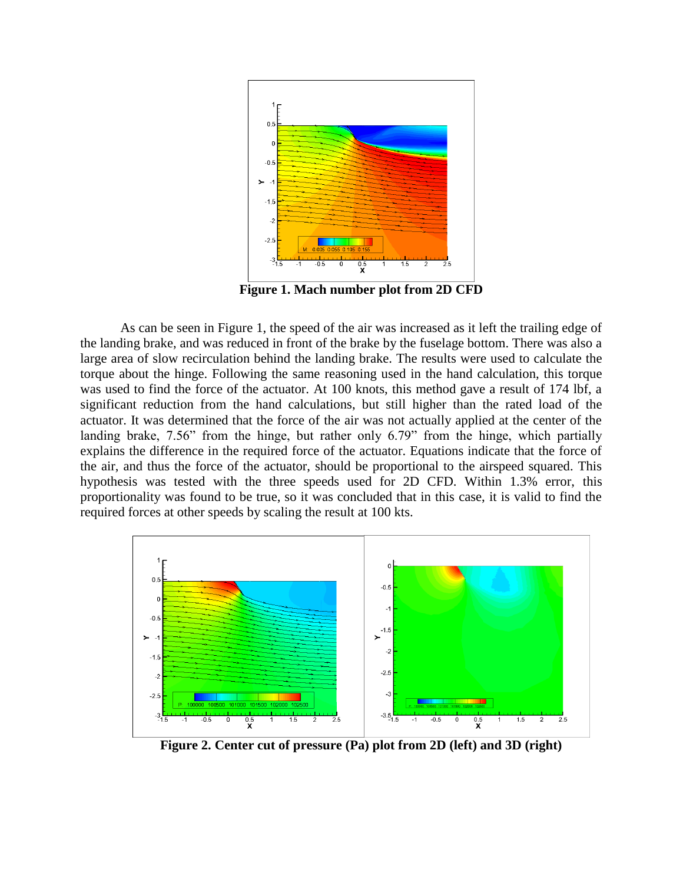

**Figure 1. Mach number plot from 2D CFD**

As can be seen in Figure 1, the speed of the air was increased as it left the trailing edge of the landing brake, and was reduced in front of the brake by the fuselage bottom. There was also a large area of slow recirculation behind the landing brake. The results were used to calculate the torque about the hinge. Following the same reasoning used in the hand calculation, this torque was used to find the force of the actuator. At 100 knots, this method gave a result of 174 lbf, a significant reduction from the hand calculations, but still higher than the rated load of the actuator. It was determined that the force of the air was not actually applied at the center of the landing brake, 7.56" from the hinge, but rather only 6.79" from the hinge, which partially explains the difference in the required force of the actuator. Equations indicate that the force of the air, and thus the force of the actuator, should be proportional to the airspeed squared. This hypothesis was tested with the three speeds used for 2D CFD. Within 1.3% error, this proportionality was found to be true, so it was concluded that in this case, it is valid to find the required forces at other speeds by scaling the result at 100 kts.



**Figure 2. Center cut of pressure (Pa) plot from 2D (left) and 3D (right)**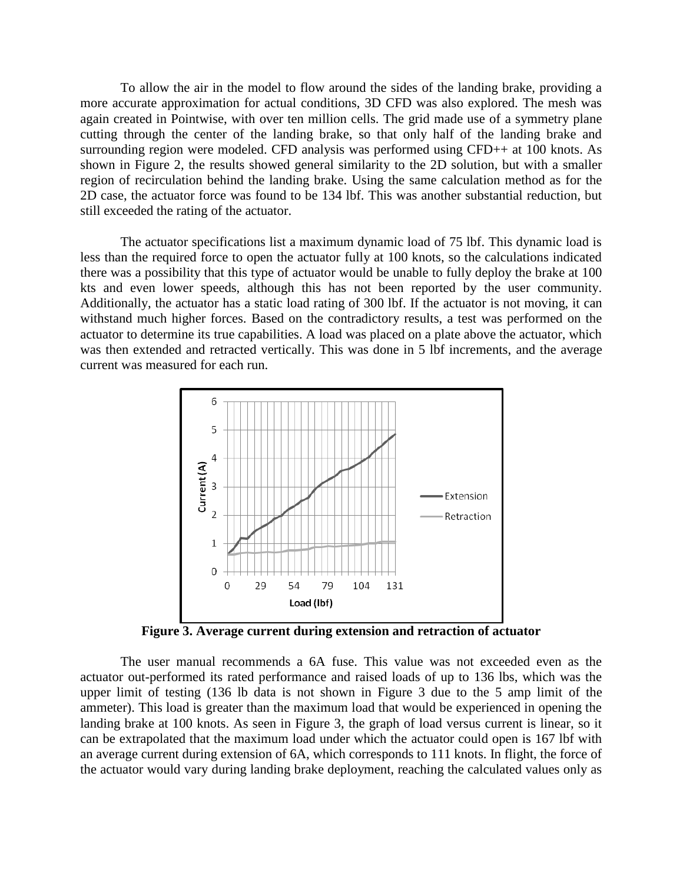To allow the air in the model to flow around the sides of the landing brake, providing a more accurate approximation for actual conditions, 3D CFD was also explored. The mesh was again created in Pointwise, with over ten million cells. The grid made use of a symmetry plane cutting through the center of the landing brake, so that only half of the landing brake and surrounding region were modeled. CFD analysis was performed using CFD++ at 100 knots. As shown in Figure 2, the results showed general similarity to the 2D solution, but with a smaller region of recirculation behind the landing brake. Using the same calculation method as for the 2D case, the actuator force was found to be 134 lbf. This was another substantial reduction, but still exceeded the rating of the actuator.

The actuator specifications list a maximum dynamic load of 75 lbf. This dynamic load is less than the required force to open the actuator fully at 100 knots, so the calculations indicated there was a possibility that this type of actuator would be unable to fully deploy the brake at 100 kts and even lower speeds, although this has not been reported by the user community. Additionally, the actuator has a static load rating of 300 lbf. If the actuator is not moving, it can withstand much higher forces. Based on the contradictory results, a test was performed on the actuator to determine its true capabilities. A load was placed on a plate above the actuator, which was then extended and retracted vertically. This was done in 5 lbf increments, and the average current was measured for each run.



**Figure 3. Average current during extension and retraction of actuator**

The user manual recommends a 6A fuse. This value was not exceeded even as the actuator out-performed its rated performance and raised loads of up to 136 lbs, which was the upper limit of testing (136 lb data is not shown in Figure 3 due to the 5 amp limit of the ammeter). This load is greater than the maximum load that would be experienced in opening the landing brake at 100 knots. As seen in Figure 3, the graph of load versus current is linear, so it can be extrapolated that the maximum load under which the actuator could open is 167 lbf with an average current during extension of 6A, which corresponds to 111 knots. In flight, the force of the actuator would vary during landing brake deployment, reaching the calculated values only as